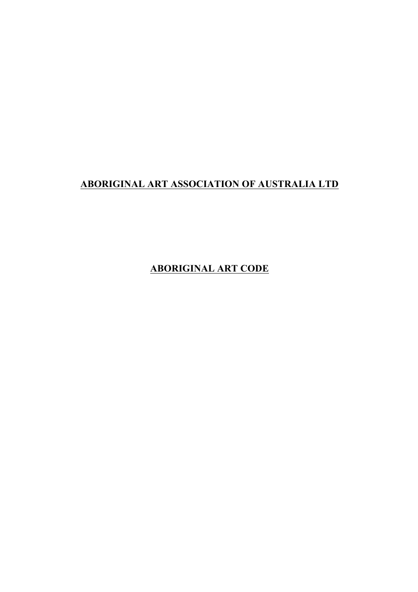## **ABORIGINAL ART ASSOCIATION OF AUSTRALIA LTD**

**ABORIGINAL ART CODE**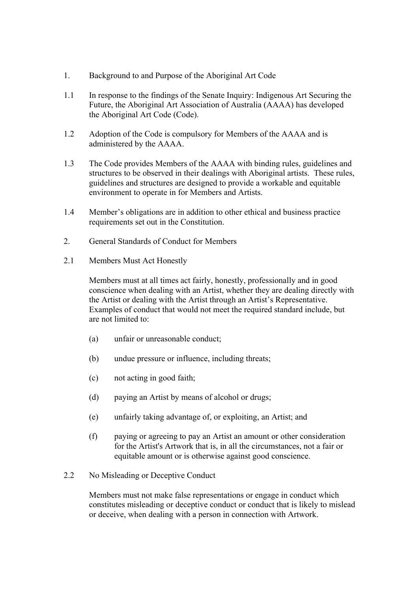- 1. Background to and Purpose of the Aboriginal Art Code
- 1.1 In response to the findings of the Senate Inquiry: Indigenous Art Securing the Future, the Aboriginal Art Association of Australia (AAAA) has developed the Aboriginal Art Code (Code).
- 1.2 Adoption of the Code is compulsory for Members of the AAAA and is administered by the AAAA.
- 1.3 The Code provides Members of the AAAA with binding rules, guidelines and structures to be observed in their dealings with Aboriginal artists. These rules, guidelines and structures are designed to provide a workable and equitable environment to operate in for Members and Artists.
- 1.4 Member's obligations are in addition to other ethical and business practice requirements set out in the Constitution.
- 2. General Standards of Conduct for Members
- 2.1 Members Must Act Honestly

Members must at all times act fairly, honestly, professionally and in good conscience when dealing with an Artist, whether they are dealing directly with the Artist or dealing with the Artist through an Artist's Representative. Examples of conduct that would not meet the required standard include, but are not limited to:

- (a) unfair or unreasonable conduct;
- (b) undue pressure or influence, including threats;
- (c) not acting in good faith;
- (d) paying an Artist by means of alcohol or drugs;
- (e) unfairly taking advantage of, or exploiting, an Artist; and
- (f) paying or agreeing to pay an Artist an amount or other consideration for the Artist's Artwork that is, in all the circumstances, not a fair or equitable amount or is otherwise against good conscience.
- 2.2 No Misleading or Deceptive Conduct

Members must not make false representations or engage in conduct which constitutes misleading or deceptive conduct or conduct that is likely to mislead or deceive, when dealing with a person in connection with Artwork.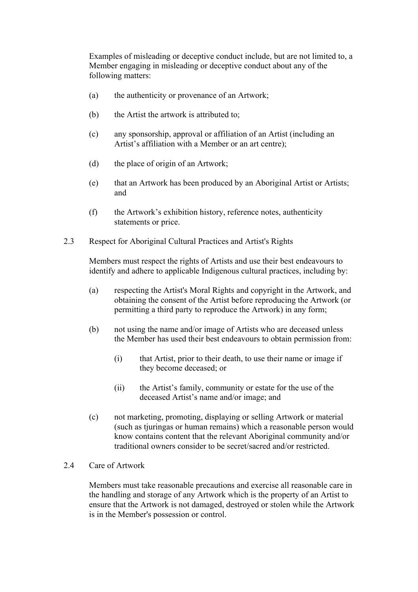Examples of misleading or deceptive conduct include, but are not limited to, a Member engaging in misleading or deceptive conduct about any of the following matters:

- (a) the authenticity or provenance of an Artwork;
- (b) the Artist the artwork is attributed to;
- (c) any sponsorship, approval or affiliation of an Artist (including an Artist's affiliation with a Member or an art centre);
- (d) the place of origin of an Artwork;
- (e) that an Artwork has been produced by an Aboriginal Artist or Artists; and
- (f) the Artwork's exhibition history, reference notes, authenticity statements or price.
- 2.3 Respect for Aboriginal Cultural Practices and Artist's Rights

Members must respect the rights of Artists and use their best endeavours to identify and adhere to applicable Indigenous cultural practices, including by:

- (a) respecting the Artist's Moral Rights and copyright in the Artwork, and obtaining the consent of the Artist before reproducing the Artwork (or permitting a third party to reproduce the Artwork) in any form;
- (b) not using the name and/or image of Artists who are deceased unless the Member has used their best endeavours to obtain permission from:
	- (i) that Artist, prior to their death, to use their name or image if they become deceased; or
	- (ii) the Artist's family, community or estate for the use of the deceased Artist's name and/or image; and
- (c) not marketing, promoting, displaying or selling Artwork or material (such as tjuringas or human remains) which a reasonable person would know contains content that the relevant Aboriginal community and/or traditional owners consider to be secret/sacred and/or restricted.

## 2.4 Care of Artwork

Members must take reasonable precautions and exercise all reasonable care in the handling and storage of any Artwork which is the property of an Artist to ensure that the Artwork is not damaged, destroyed or stolen while the Artwork is in the Member's possession or control.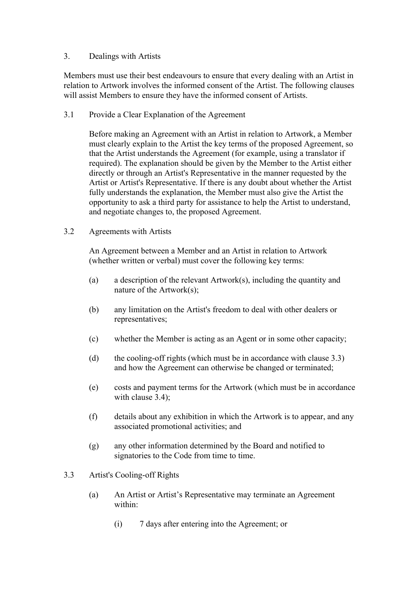## 3. Dealings with Artists

Members must use their best endeavours to ensure that every dealing with an Artist in relation to Artwork involves the informed consent of the Artist. The following clauses will assist Members to ensure they have the informed consent of Artists.

3.1 Provide a Clear Explanation of the Agreement

Before making an Agreement with an Artist in relation to Artwork, a Member must clearly explain to the Artist the key terms of the proposed Agreement, so that the Artist understands the Agreement (for example, using a translator if required). The explanation should be given by the Member to the Artist either directly or through an Artist's Representative in the manner requested by the Artist or Artist's Representative. If there is any doubt about whether the Artist fully understands the explanation, the Member must also give the Artist the opportunity to ask a third party for assistance to help the Artist to understand, and negotiate changes to, the proposed Agreement.

3.2 Agreements with Artists

An Agreement between a Member and an Artist in relation to Artwork (whether written or verbal) must cover the following key terms:

- (a) a description of the relevant Artwork(s), including the quantity and nature of the Artwork(s);
- (b) any limitation on the Artist's freedom to deal with other dealers or representatives;
- (c) whether the Member is acting as an Agent or in some other capacity;
- (d) the cooling-off rights (which must be in accordance with clause 3.3) and how the Agreement can otherwise be changed or terminated;
- (e) costs and payment terms for the Artwork (which must be in accordance with clause 3.4);
- (f) details about any exhibition in which the Artwork is to appear, and any associated promotional activities; and
- (g) any other information determined by the Board and notified to signatories to the Code from time to time.
- 3.3 Artist's Cooling-off Rights
	- (a) An Artist or Artist's Representative may terminate an Agreement within:
		- (i) 7 days after entering into the Agreement; or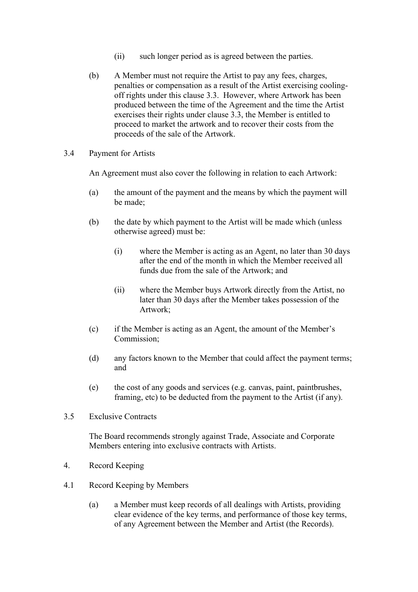- (ii) such longer period as is agreed between the parties.
- (b) A Member must not require the Artist to pay any fees, charges, penalties or compensation as a result of the Artist exercising coolingoff rights under this clause 3.3. However, where Artwork has been produced between the time of the Agreement and the time the Artist exercises their rights under clause 3.3, the Member is entitled to proceed to market the artwork and to recover their costs from the proceeds of the sale of the Artwork.
- 3.4 Payment for Artists

An Agreement must also cover the following in relation to each Artwork:

- (a) the amount of the payment and the means by which the payment will be made;
- (b) the date by which payment to the Artist will be made which (unless otherwise agreed) must be:
	- (i) where the Member is acting as an Agent, no later than 30 days after the end of the month in which the Member received all funds due from the sale of the Artwork; and
	- (ii) where the Member buys Artwork directly from the Artist, no later than 30 days after the Member takes possession of the Artwork;
- (c) if the Member is acting as an Agent, the amount of the Member's Commission;
- (d) any factors known to the Member that could affect the payment terms; and
- (e) the cost of any goods and services (e.g. canvas, paint, paintbrushes, framing, etc) to be deducted from the payment to the Artist (if any).
- 3.5 Exclusive Contracts

The Board recommends strongly against Trade, Associate and Corporate Members entering into exclusive contracts with Artists.

- 4. Record Keeping
- 4.1 Record Keeping by Members
	- (a) a Member must keep records of all dealings with Artists, providing clear evidence of the key terms, and performance of those key terms, of any Agreement between the Member and Artist (the Records).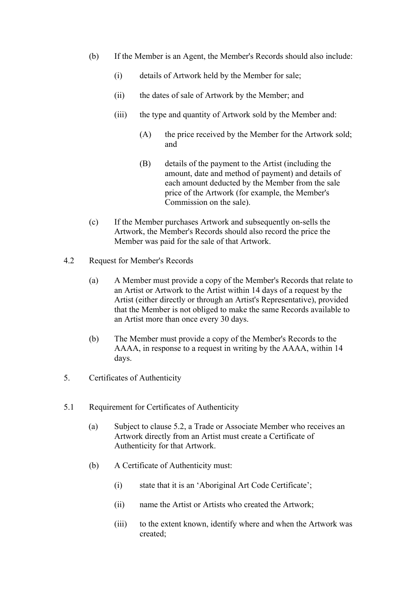- (b) If the Member is an Agent, the Member's Records should also include:
	- (i) details of Artwork held by the Member for sale;
	- (ii) the dates of sale of Artwork by the Member; and
	- (iii) the type and quantity of Artwork sold by the Member and:
		- (A) the price received by the Member for the Artwork sold; and
		- (B) details of the payment to the Artist (including the amount, date and method of payment) and details of each amount deducted by the Member from the sale price of the Artwork (for example, the Member's Commission on the sale).
- (c) If the Member purchases Artwork and subsequently on-sells the Artwork, the Member's Records should also record the price the Member was paid for the sale of that Artwork.
- 4.2 Request for Member's Records
	- (a) A Member must provide a copy of the Member's Records that relate to an Artist or Artwork to the Artist within 14 days of a request by the Artist (either directly or through an Artist's Representative), provided that the Member is not obliged to make the same Records available to an Artist more than once every 30 days.
	- (b) The Member must provide a copy of the Member's Records to the AAAA, in response to a request in writing by the AAAA, within 14 days.
- 5. Certificates of Authenticity
- 5.1 Requirement for Certificates of Authenticity
	- (a) Subject to clause 5.2, a Trade or Associate Member who receives an Artwork directly from an Artist must create a Certificate of Authenticity for that Artwork.
	- (b) A Certificate of Authenticity must:
		- (i) state that it is an 'Aboriginal Art Code Certificate';
		- (ii) name the Artist or Artists who created the Artwork;
		- (iii) to the extent known, identify where and when the Artwork was created;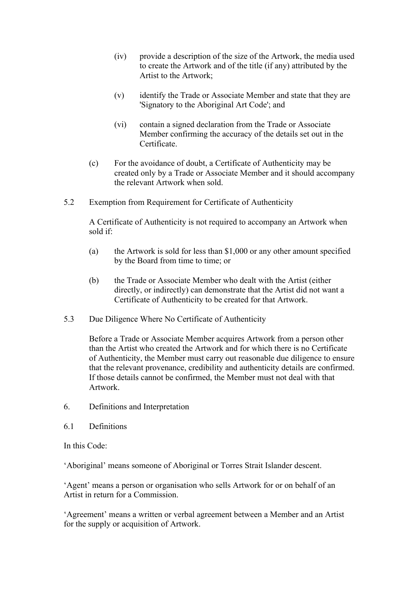- (iv) provide a description of the size of the Artwork, the media used to create the Artwork and of the title (if any) attributed by the Artist to the Artwork;
- (v) identify the Trade or Associate Member and state that they are 'Signatory to the Aboriginal Art Code'; and
- (vi) contain a signed declaration from the Trade or Associate Member confirming the accuracy of the details set out in the Certificate.
- (c) For the avoidance of doubt, a Certificate of Authenticity may be created only by a Trade or Associate Member and it should accompany the relevant Artwork when sold.
- 5.2 Exemption from Requirement for Certificate of Authenticity

A Certificate of Authenticity is not required to accompany an Artwork when sold if:

- (a) the Artwork is sold for less than \$1,000 or any other amount specified by the Board from time to time; or
- (b) the Trade or Associate Member who dealt with the Artist (either directly, or indirectly) can demonstrate that the Artist did not want a Certificate of Authenticity to be created for that Artwork.
- 5.3 Due Diligence Where No Certificate of Authenticity

Before a Trade or Associate Member acquires Artwork from a person other than the Artist who created the Artwork and for which there is no Certificate of Authenticity, the Member must carry out reasonable due diligence to ensure that the relevant provenance, credibility and authenticity details are confirmed. If those details cannot be confirmed, the Member must not deal with that Artwork.

- 6. Definitions and Interpretation
- 6.1 Definitions

In this Code:

'Aboriginal' means someone of Aboriginal or Torres Strait Islander descent.

'Agent' means a person or organisation who sells Artwork for or on behalf of an Artist in return for a Commission.

'Agreement' means a written or verbal agreement between a Member and an Artist for the supply or acquisition of Artwork.